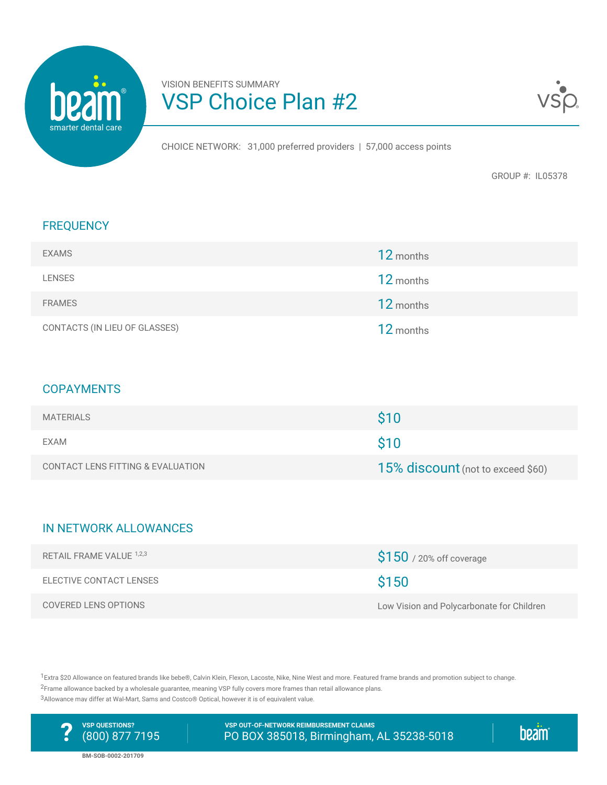

# VISION BENEFITS SUMMARY VSP Choice Plan #2



CHOICE NETWORK: 31,000 preferred providers | 57,000 access points

GROUP #: IL05378

## **FREQUENCY**

| <b>EXAMS</b>                  | 12 months |
|-------------------------------|-----------|
| <b>LENSES</b>                 | 12 months |
| <b>FRAMES</b>                 | 12 months |
| CONTACTS (IN LIEU OF GLASSES) | 12 months |

#### **COPAYMENTS**

| <b>MATERIALS</b>                  | <b>S10</b>                        |
|-----------------------------------|-----------------------------------|
| EXAM                              | <b>S<sub>10</sub></b>             |
| CONTACT LENS FITTING & EVALUATION | 15% discount (not to exceed \$60) |

### IN NETWORK ALLOWANCES

| RETAIL FRAME VALUE 1,2,3 | $$150$ / 20% off coverage                 |
|--------------------------|-------------------------------------------|
| ELECTIVE CONTACT LENSES  | S <sub>150</sub>                          |
| COVERED LENS OPTIONS     | Low Vision and Polycarbonate for Children |

1Extra \$20 Allowance on featured brands like bebe®, Calvin Klein, Flexon, Lacoste, Nike, Nine West and more. Featured frame brands and promotion subject to change. <sup>2</sup> Frame allowance backed by a wholesale guarantee, meaning VSP fully covers more frames than retail allowance plans. 3Allowance mav differ at Wal-Mart. Sams and Costco® Optical. however it is of equivalent value.



**VSP OUT-OF-NETWORK REIMBURSEMENT CLAIMS** PO BOX 385018, Birmingham, AL 35238-5018